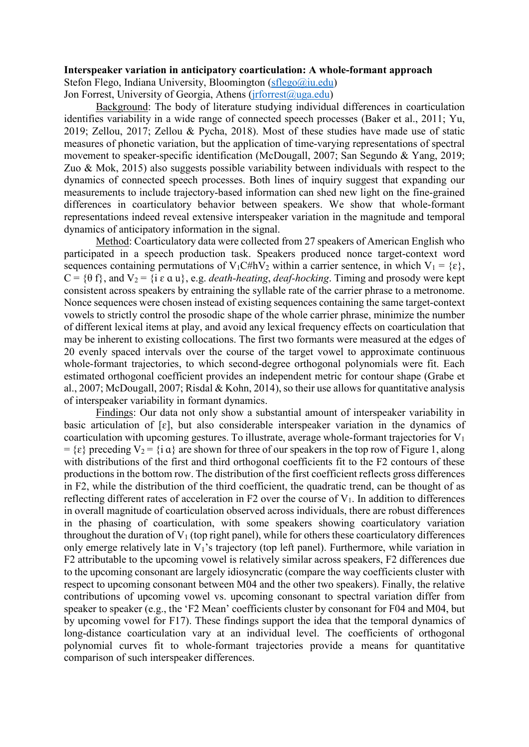## **Interspeaker variation in anticipatory coarticulation: A whole-formant approach**

Stefon Flego, Indiana University, Bloomington [\(sflego@iu.edu\)](mailto:sflego@iu.edu) Jon Forrest, University of Georgia, Athens (*irforrest@uga.edu*)

Background: The body of literature studying individual differences in coarticulation identifies variability in a wide range of connected speech processes (Baker et al., 2011; Yu, 2019; Zellou, 2017; Zellou & Pycha, 2018). Most of these studies have made use of static measures of phonetic variation, but the application of time-varying representations of spectral movement to speaker-specific identification (McDougall, 2007; San Segundo & Yang, 2019; Zuo & Mok, 2015) also suggests possible variability between individuals with respect to the dynamics of connected speech processes. Both lines of inquiry suggest that expanding our measurements to include trajectory-based information can shed new light on the fine-grained differences in coarticulatory behavior between speakers. We show that whole-formant representations indeed reveal extensive interspeaker variation in the magnitude and temporal dynamics of anticipatory information in the signal.

Method: Coarticulatory data were collected from 27 speakers of American English who participated in a speech production task. Speakers produced nonce target-context word sequences containing permutations of  $V_1C\#hV_2$  within a carrier sentence, in which  $V_1 = \{\varepsilon\},\$  $C = \{\theta f\}$ , and  $V_2 = \{\text{i } \varepsilon \alpha u\}$ , e.g. *death-heating*, *deaf-hocking*. Timing and prosody were kept consistent across speakers by entraining the syllable rate of the carrier phrase to a metronome. Nonce sequences were chosen instead of existing sequences containing the same target-context vowels to strictly control the prosodic shape of the whole carrier phrase, minimize the number of different lexical items at play, and avoid any lexical frequency effects on coarticulation that may be inherent to existing collocations. The first two formants were measured at the edges of 20 evenly spaced intervals over the course of the target vowel to approximate continuous whole-formant trajectories, to which second-degree orthogonal polynomials were fit. Each estimated orthogonal coefficient provides an independent metric for contour shape (Grabe et al., 2007; McDougall, 2007; Risdal & Kohn, 2014), so their use allows for quantitative analysis of interspeaker variability in formant dynamics.

Findings: Our data not only show a substantial amount of interspeaker variability in basic articulation of  $[\varepsilon]$ , but also considerable interspeaker variation in the dynamics of coarticulation with upcoming gestures. To illustrate, average whole-formant trajectories for  $V_1$  $= \{\varepsilon\}$  preceding  $V_2 = \{\iota \alpha\}$  are shown for three of our speakers in the top row of Figure 1, along with distributions of the first and third orthogonal coefficients fit to the F2 contours of these productions in the bottom row. The distribution of the first coefficient reflects gross differences in F2, while the distribution of the third coefficient, the quadratic trend, can be thought of as reflecting different rates of acceleration in F2 over the course of  $V_1$ . In addition to differences in overall magnitude of coarticulation observed across individuals, there are robust differences in the phasing of coarticulation, with some speakers showing coarticulatory variation throughout the duration of  $V_1$  (top right panel), while for others these coarticulatory differences only emerge relatively late in  $V_1$ 's trajectory (top left panel). Furthermore, while variation in F2 attributable to the upcoming vowel is relatively similar across speakers, F2 differences due to the upcoming consonant are largely idiosyncratic (compare the way coefficients cluster with respect to upcoming consonant between M04 and the other two speakers). Finally, the relative contributions of upcoming vowel vs. upcoming consonant to spectral variation differ from speaker to speaker (e.g., the 'F2 Mean' coefficients cluster by consonant for F04 and M04, but by upcoming vowel for F17). These findings support the idea that the temporal dynamics of long-distance coarticulation vary at an individual level. The coefficients of orthogonal polynomial curves fit to whole-formant trajectories provide a means for quantitative comparison of such interspeaker differences.